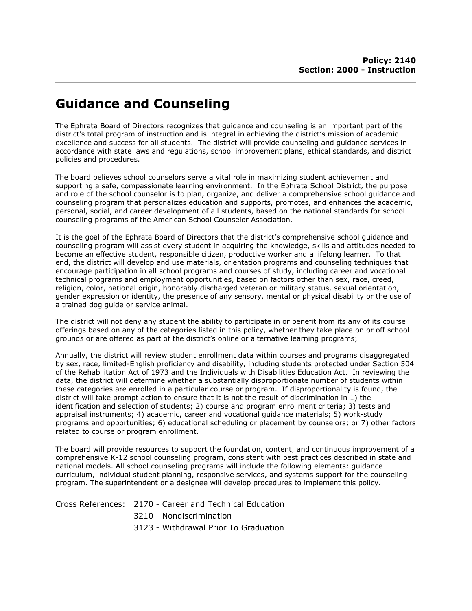## Guidance and Counseling

The Ephrata Board of Directors recognizes that guidance and counseling is an important part of the district's total program of instruction and is integral in achieving the district's mission of academic excellence and success for all students. The district will provide counseling and guidance services in accordance with state laws and regulations, school improvement plans, ethical standards, and district policies and procedures.

The board believes school counselors serve a vital role in maximizing student achievement and supporting a safe, compassionate learning environment. In the Ephrata School District, the purpose and role of the school counselor is to plan, organize, and deliver a comprehensive school guidance and counseling program that personalizes education and supports, promotes, and enhances the academic, personal, social, and career development of all students, based on the national standards for school counseling programs of the American School Counselor Association.

It is the goal of the Ephrata Board of Directors that the district's comprehensive school guidance and counseling program will assist every student in acquiring the knowledge, skills and attitudes needed to become an effective student, responsible citizen, productive worker and a lifelong learner. To that end, the district will develop and use materials, orientation programs and counseling techniques that encourage participation in all school programs and courses of study, including career and vocational technical programs and employment opportunities, based on factors other than sex, race, creed, religion, color, national origin, honorably discharged veteran or military status, sexual orientation, gender expression or identity, the presence of any sensory, mental or physical disability or the use of a trained dog guide or service animal.

The district will not deny any student the ability to participate in or benefit from its any of its course offerings based on any of the categories listed in this policy, whether they take place on or off school grounds or are offered as part of the district's online or alternative learning programs;

Annually, the district will review student enrollment data within courses and programs disaggregated by sex, race, limited-English proficiency and disability, including students protected under Section 504 of the Rehabilitation Act of 1973 and the Individuals with Disabilities Education Act. In reviewing the data, the district will determine whether a substantially disproportionate number of students within these categories are enrolled in a particular course or program. If disproportionality is found, the district will take prompt action to ensure that it is not the result of discrimination in 1) the identification and selection of students; 2) course and program enrollment criteria; 3) tests and appraisal instruments; 4) academic, career and vocational guidance materials; 5) work-study programs and opportunities; 6) educational scheduling or placement by counselors; or 7) other factors related to course or program enrollment.

The board will provide resources to support the foundation, content, and continuous improvement of a comprehensive K-12 school counseling program, consistent with best practices described in state and national models. All school counseling programs will include the following elements: guidance curriculum, individual student planning, responsive services, and systems support for the counseling program. The superintendent or a designee will develop procedures to implement this policy.

Cross References: 2170 - Career and Technical Education 3210 - Nondiscrimination 3123 - Withdrawal Prior To Graduation